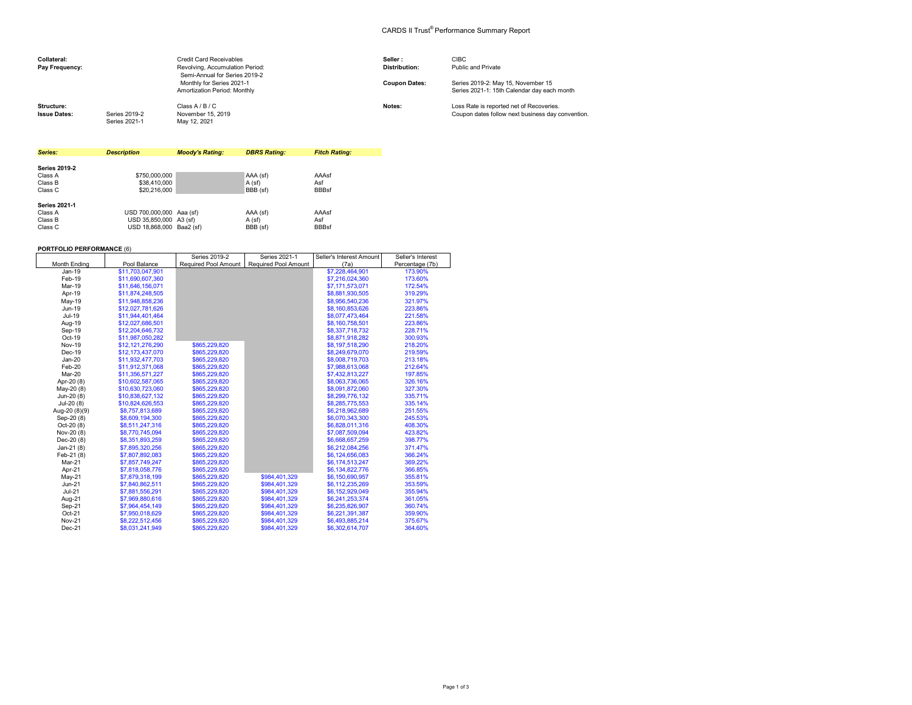## CARDS II Trust® Performance Summary Report

| Collateral:<br>Pay Frequency:     |                                | <b>Credit Card Receivables</b><br>Revolving, Accumulation Period:<br>Semi-Annual for Series 2019-2 | Seller:<br><b>Distribution:</b> | <b>CIBC</b><br>Public and Private                                                             |
|-----------------------------------|--------------------------------|----------------------------------------------------------------------------------------------------|---------------------------------|-----------------------------------------------------------------------------------------------|
|                                   |                                | Monthly for Series 2021-1<br>Amortization Period: Monthly                                          | <b>Coupon Dates:</b>            | Series 2019-2: May 15, November 15<br>Series 2021-1: 15th Calendar day each month             |
| Structure:<br><b>Issue Dates:</b> | Series 2019-2<br>Series 2021-1 | Class A / B / C<br>November 15, 2019<br>May 12, 2021                                               | Notes:                          | Loss Rate is reported net of Recoveries.<br>Coupon dates follow next business day convention. |

| Series:              | <b>Description</b>       | <b>Moody's Rating:</b> | <b>DBRS Rating:</b> | <b>Fitch Rating:</b> |
|----------------------|--------------------------|------------------------|---------------------|----------------------|
|                      |                          |                        |                     |                      |
| <b>Series 2019-2</b> |                          |                        |                     |                      |
| Class A              | \$750,000,000            |                        | AAA (sf)            | AAAsf                |
| Class B              | \$38,410,000             |                        | A (sf)              | Asf                  |
| Class C              | \$20,216,000             |                        | BBB (sf)            | <b>BBBsf</b>         |
| <b>Series 2021-1</b> |                          |                        |                     |                      |
| Class A              | USD 700,000,000 Aaa (sf) |                        | AAA (sf)            | AAAsf                |
| Class B              | USD 35.850.000 A3 (sf)   |                        | A (sf)              | Asf                  |
| Class C              | USD 18.868.000 Baa2 (sf) |                        | BBB (sf)            | <b>BBBsf</b>         |

## **PORTFOLIO PERFORMANCE** (6)

|               |                  | Series 2019-2 | Series 2021-1                               | Seller's Interest Amount | Seller's Interest |
|---------------|------------------|---------------|---------------------------------------------|--------------------------|-------------------|
| Month Ending  | Pool Balance     |               | Required Pool Amount   Required Pool Amount | (7a)                     | Percentage (7b)   |
| Jan-19        | \$11,703,047,901 |               |                                             | \$7,228,464,901          | 173.90%           |
| Feb-19        | \$11,690,607,360 |               |                                             | \$7,216,024,360          | 173.60%           |
| Mar-19        | \$11,646,156,071 |               |                                             | \$7,171,573,071          | 172.54%           |
| Apr-19        | \$11,874,248,505 |               |                                             | \$8,881,930,505          | 319.29%           |
| May-19        | \$11,948,858,236 |               |                                             | \$8,956,540,236          | 321.97%           |
| Jun-19        | \$12.027.781.626 |               |                                             | \$8,160,853,626          | 223.86%           |
| Jul-19        | \$11.944.401.464 |               |                                             | \$8,077,473,464          | 221.58%           |
| Aug-19        | \$12,027,686,501 |               |                                             | \$8,160,758,501          | 223.86%           |
| Sep-19        | \$12,204,646,732 |               |                                             | \$8,337,718,732          | 228.71%           |
| Oct-19        | \$11,987,050,282 |               |                                             | \$8,871,918,282          | 300.93%           |
| <b>Nov-19</b> | \$12,121,276,290 | \$865.229.820 |                                             | \$8,197,518,290          | 218.20%           |
| Dec-19        | \$12,173,437,070 | \$865,229,820 |                                             | \$8,249,679,070          | 219.59%           |
| $Jan-20$      | \$11,932,477,703 | \$865,229,820 |                                             | \$8,008,719,703          | 213.18%           |
| Feb-20        | \$11,912,371,068 | \$865,229,820 |                                             | \$7,988,613,068          | 212.64%           |
| Mar-20        | \$11,356,571,227 | \$865,229,820 |                                             | \$7,432,813,227          | 197.85%           |
| Apr-20 (8)    | \$10.602.587.065 | \$865.229.820 |                                             | \$8,063,736,065          | 326.16%           |
| May-20 (8)    | \$10.630.723.060 | \$865,229,820 |                                             | \$8,091,872,060          | 327.30%           |
| Jun-20 (8)    | \$10,838,627,132 | \$865,229,820 |                                             | \$8,299,776,132          | 335.71%           |
| Jul-20 (8)    | \$10,824,626,553 | \$865,229,820 |                                             | \$8,285,775,553          | 335.14%           |
| Aug-20 (8)(9) | \$8,757,813,689  | \$865,229,820 |                                             | \$6,218,962,689          | 251.55%           |
| Sep-20 (8)    | \$8,609,194,300  | \$865,229,820 |                                             | \$6,070,343,300          | 245.53%           |
| $Oct-20(8)$   | \$8,511,247,316  | \$865,229,820 |                                             | \$6,828,011.316          | 408.30%           |
| Nov-20 (8)    | \$8,770,745,094  | \$865,229,820 |                                             | \$7,087,509,094          | 423.82%           |
| Dec-20 (8)    | \$8,351,893,259  | \$865,229,820 |                                             | \$6,668,657,259          | 398.77%           |
| Jan-21 $(8)$  | \$7,895,320,256  | \$865,229,820 |                                             | \$6,212,084,256          | 371.47%           |
| Feb-21 (8)    | \$7,807,892,083  | \$865,229,820 |                                             | \$6,124,656,083          | 366.24%           |
| Mar-21        | \$7,857,749,247  | \$865,229,820 |                                             | \$6,174,513,247          | 369.22%           |
| Apr-21        | \$7,818,058,776  | \$865,229,820 |                                             | \$6,134,822,776          | 366.85%           |
| $May-21$      | \$7,879,318,199  | \$865,229,820 | \$984,401,329                               | \$6,150,690,957          | 355.81%           |
| $Jun-21$      | \$7,840,862,511  | \$865,229,820 | \$984,401,329                               | \$6,112,235,269          | 353.59%           |
| $Jul-21$      | \$7,881,556,291  | \$865.229.820 | \$984.401.329                               | \$6,152,929,049          | 355.94%           |
| Aug-21        | \$7,969,880,616  | \$865,229,820 | \$984.401.329                               | \$6,241,253,374          | 361.05%           |
| Sep-21        | \$7,964,454,149  | \$865.229.820 | \$984.401.329                               | \$6,235,826,907          | 360.74%           |
| Oct-21        | \$7,950,018,629  | \$865,229,820 | \$984,401,329                               | \$6,221,391,387          | 359.90%           |
| <b>Nov-21</b> | \$8,222,512,456  | \$865,229,820 | \$984,401,329                               | \$6,493,885,214          | 375.67%           |
| Dec-21        | \$8,031,241,949  | \$865,229,820 | \$984.401.329                               | \$6,302,614,707          | 364.60%           |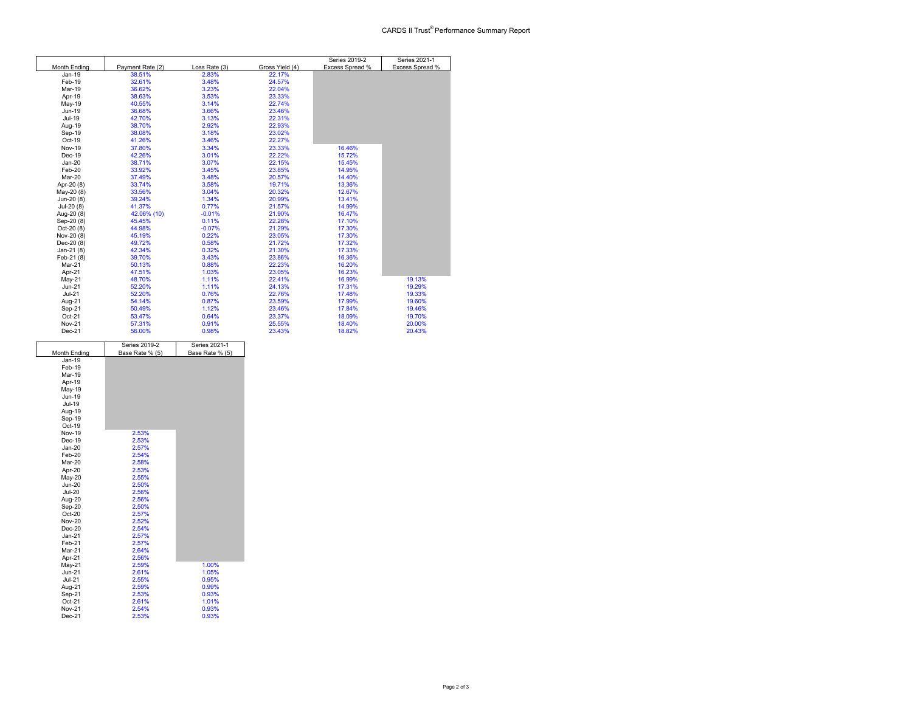|               |                  |               |                 | Series 2019-2   | Series 2021-1   |
|---------------|------------------|---------------|-----------------|-----------------|-----------------|
| Month Ending  | Payment Rate (2) | Loss Rate (3) | Gross Yield (4) | Excess Spread % | Excess Spread % |
| Jan-19        | 38.51%           | 2.83%         | 22.17%          |                 |                 |
| Feb-19        | 32.61%           | 3.48%         | 24.57%          |                 |                 |
| <b>Mar-19</b> | 36.62%           | 3.23%         | 22.04%          |                 |                 |
| Apr-19        | 38.63%           | 3.53%         | 23.33%          |                 |                 |
| May-19        | 40.55%           | 3.14%         | 22.74%          |                 |                 |
| Jun-19        | 36.68%           | 3.66%         | 23.46%          |                 |                 |
| Jul-19        | 42.70%           | 3.13%         | 22.31%          |                 |                 |
| Aug-19        | 38.70%           | 2.92%         | 22.93%          |                 |                 |
| Sep-19        | 38.08%           | 3.18%         | 23.02%          |                 |                 |
| Oct-19        | 41.26%           | 3.46%         | 22.27%          |                 |                 |
| <b>Nov-19</b> | 37.80%           | 3.34%         | 23.33%          | 16.46%          |                 |
| Dec-19        | 42.26%           | 3.01%         | 22.22%          | 15.72%          |                 |
| $Jan-20$      | 38.71%           | 3.07%         | 22.15%          | 15.45%          |                 |
| Feb-20        | 33.92%           | 3.45%         | 23.85%          | 14.95%          |                 |
| Mar-20        | 37.49%           | 3.48%         | 20.57%          | 14.40%          |                 |
| Apr-20 (8)    | 33.74%           | 3.58%         | 19.71%          | 13.36%          |                 |
| May-20 (8)    | 33.56%           | 3.04%         | 20.32%          | 12.67%          |                 |
| Jun-20 (8)    | 39.24%           | 1.34%         | 20.99%          | 13.41%          |                 |
| Jul-20 (8)    | 41.37%           | 0.77%         | 21.57%          | 14.99%          |                 |
| Aug-20 (8)    | 42.06% (10)      | $-0.01%$      | 21.90%          | 16.47%          |                 |
| Sep-20 (8)    | 45.45%           | 0.11%         | 22.28%          | 17.10%          |                 |
| Oct-20 (8)    | 44.98%           | $-0.07%$      | 21.29%          | 17.30%          |                 |
| Nov-20 (8)    | 45.19%           | 0.22%         | 23.05%          | 17.30%          |                 |
| Dec-20 (8)    | 49.72%           | 0.58%         | 21.72%          | 17.32%          |                 |
| Jan-21 $(8)$  | 42.34%           | 0.32%         | 21.30%          | 17.33%          |                 |
| Feb-21 (8)    | 39.70%           | 3.43%         | 23.86%          | 16.36%          |                 |
| Mar-21        | 50.13%           | 0.88%         | 22.23%          | 16.20%          |                 |
| Apr-21        | 47.51%           | 1.03%         | 23.05%          | 16.23%          |                 |
| May-21        | 48.70%           | 1.11%         | 22.41%          | 16.99%          | 19.13%          |
| $Jun-21$      | 52.20%           | 1.11%         | 24.13%          | 17.31%          | 19.29%          |
| $Jul-21$      | 52.20%           | 0.76%         | 22.76%          | 17.48%          | 19.33%          |
| Aug-21        | 54.14%           | 0.87%         | 23.59%          | 17.99%          | 19.60%          |
| Sep-21        | 50.49%           | 1.12%         | 23.46%          | 17.84%          | 19.46%          |
| Oct-21        | 53.47%           | 0.64%         | 23.37%          | 18.09%          | 19.70%          |
| <b>Nov-21</b> | 57.31%           | 0.91%         | 25.55%          | 18.40%          | 20.00%          |
| Dec-21        | 56.00%           | 0.98%         | 23.43%          | 18.82%          | 20.43%          |

|               | Series 2019-2   | Series 2021-1   |
|---------------|-----------------|-----------------|
| Month Ending  | Base Rate % (5) | Base Rate % (5) |
| Jan-19        |                 |                 |
| Feb-19        |                 |                 |
| Mar-19        |                 |                 |
| Apr-19        |                 |                 |
| May-19        |                 |                 |
| Jun-19        |                 |                 |
| Jul-19        |                 |                 |
| Aug-19        |                 |                 |
| Sep-19        |                 |                 |
| Oct-19        |                 |                 |
| <b>Nov-19</b> | 2.53%           |                 |
| Dec-19        | 2.53%           |                 |
| $Jan-20$      | 2.57%           |                 |
| Feb-20        | 2.54%           |                 |
| Mar-20        | 2.58%           |                 |
| Apr-20        | 2.53%           |                 |
| May-20        | 2.55%           |                 |
| <b>Jun-20</b> | 2.50%           |                 |
| <b>Jul-20</b> | 2.56%           |                 |
| Aug-20        | 2.56%           |                 |
| Sep-20        | 2.50%           |                 |
| Oct-20        | 2.57%           |                 |
| <b>Nov-20</b> | 2.52%           |                 |
| $Dec-20$      | 2.54%           |                 |
| $Jan-21$      | 2.57%           |                 |
| Feb-21        | 2.57%           |                 |
| Mar-21        | 2.64%           |                 |
| Apr-21        | 2.56%           |                 |
| May-21        | 2.59%           | 1.00%           |
| $Jun-21$      | 2.61%           | 1.05%           |
| <b>Jul-21</b> | 2.55%           | 0.95%           |
| Aug-21        | 2.59%           | 0.99%           |
| Sep-21        | 2.53%           | 0.93%           |
| $Oct-21$      | 2.61%           | 1.01%           |
| <b>Nov-21</b> | 2.54%           | 0.93%           |
| Dec-21        | 2.53%           | 0.93%           |